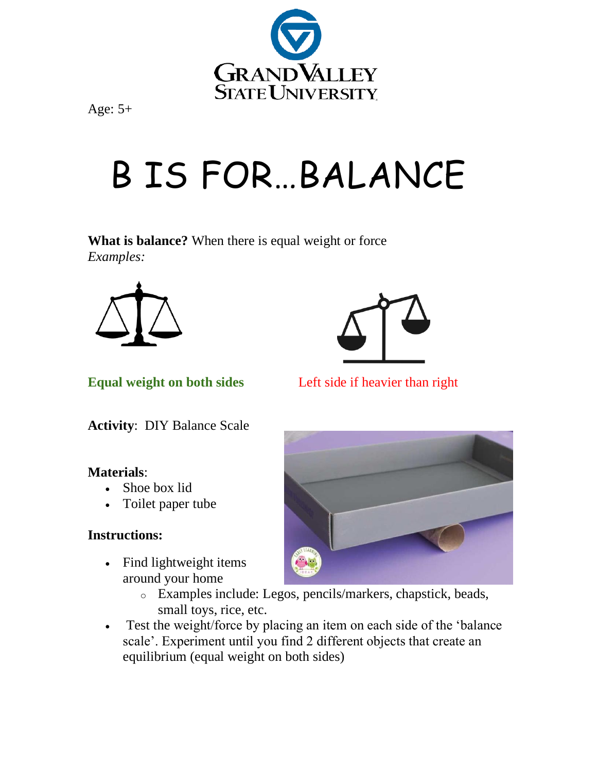

Age: 5+

## B IS FOR…BALANCE

**What is balance?** When there is equal weight or force *Examples:*





**Equal weight on both sides** Left side if heavier than right

**Activity**: DIY Balance Scale

## **Materials**:

- Shoe box lid
- Toilet paper tube

## **Instructions:**

- Find lightweight items around your home
	- o Examples include: Legos, pencils/markers, chapstick, beads, small toys, rice, etc.
- Test the weight/force by placing an item on each side of the 'balance scale'. Experiment until you find 2 different objects that create an equilibrium (equal weight on both sides)